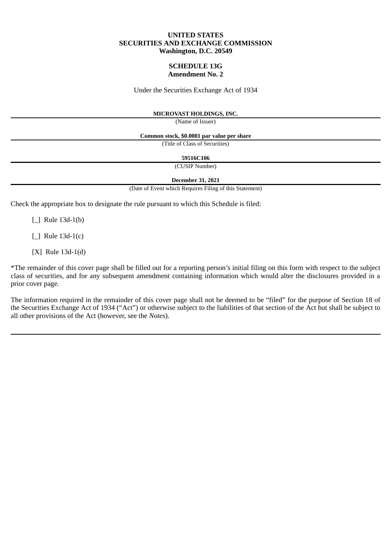### **UNITED STATES SECURITIES AND EXCHANGE COMMISSION Washington, D.C. 20549**

### **SCHEDULE 13G Amendment No. 2**

Under the Securities Exchange Act of 1934

#### **MICROVAST HOLDINGS, INC.**

(Name of Issuer)

**Common stock, \$0.0001 par value per share**

(Title of Class of Securities)

**59516C106**

(CUSIP Number)

**December 31, 2021**

(Date of Event which Requires Filing of this Statement)

Check the appropriate box to designate the rule pursuant to which this Schedule is filed:

[] Rule 13d-1(b)

 $\lceil$  1 Rule 13d-1(c)

[X] Rule 13d-1(d)

\*The remainder of this cover page shall be filled out for a reporting person's initial filing on this form with respect to the subject class of securities, and for any subsequent amendment containing information which would alter the disclosures provided in a prior cover page.

The information required in the remainder of this cover page shall not be deemed to be "filed" for the purpose of Section 18 of the Securities Exchange Act of 1934 ("Act") or otherwise subject to the liabilities of that section of the Act but shall be subject to all other provisions of the Act (however, see the *Notes*).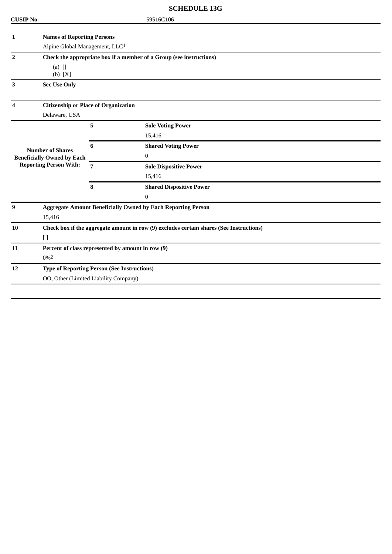# **SCHEDULE 13G**

| <b>CUSIP No.</b>              |                                                                                         |   | 59516C106                       |  |  |  |
|-------------------------------|-----------------------------------------------------------------------------------------|---|---------------------------------|--|--|--|
| 1                             | <b>Names of Reporting Persons</b>                                                       |   |                                 |  |  |  |
|                               | Alpine Global Management, LLC <sup>1</sup>                                              |   |                                 |  |  |  |
| $\overline{2}$                | Check the appropriate box if a member of a Group (see instructions)                     |   |                                 |  |  |  |
|                               | $(a)$ []                                                                                |   |                                 |  |  |  |
|                               | (b) [X]                                                                                 |   |                                 |  |  |  |
| 3                             | <b>Sec Use Only</b>                                                                     |   |                                 |  |  |  |
|                               |                                                                                         |   |                                 |  |  |  |
| Δ                             | <b>Citizenship or Place of Organization</b>                                             |   |                                 |  |  |  |
|                               | Delaware, USA                                                                           |   |                                 |  |  |  |
|                               |                                                                                         | 5 | <b>Sole Voting Power</b>        |  |  |  |
|                               |                                                                                         |   | 15,416                          |  |  |  |
| <b>Number of Shares</b>       |                                                                                         | 6 | <b>Shared Voting Power</b>      |  |  |  |
|                               | <b>Beneficially Owned by Each</b>                                                       |   | $\overline{0}$                  |  |  |  |
| <b>Reporting Person With:</b> |                                                                                         | 7 | <b>Sole Dispositive Power</b>   |  |  |  |
|                               |                                                                                         |   | 15,416                          |  |  |  |
|                               |                                                                                         | 8 | <b>Shared Dispositive Power</b> |  |  |  |
|                               |                                                                                         |   | $\boldsymbol{0}$                |  |  |  |
| 9                             | <b>Aggregate Amount Beneficially Owned by Each Reporting Person</b>                     |   |                                 |  |  |  |
|                               | 15,416                                                                                  |   |                                 |  |  |  |
| 10                            | Check box if the aggregate amount in row (9) excludes certain shares (See Instructions) |   |                                 |  |  |  |
|                               | $[ \ ]$                                                                                 |   |                                 |  |  |  |
| 11                            | Percent of class represented by amount in row (9)                                       |   |                                 |  |  |  |
|                               | $0\%2$                                                                                  |   |                                 |  |  |  |
| 12                            | <b>Type of Reporting Person (See Instructions)</b>                                      |   |                                 |  |  |  |
|                               | OO, Other (Limited Liability Company)                                                   |   |                                 |  |  |  |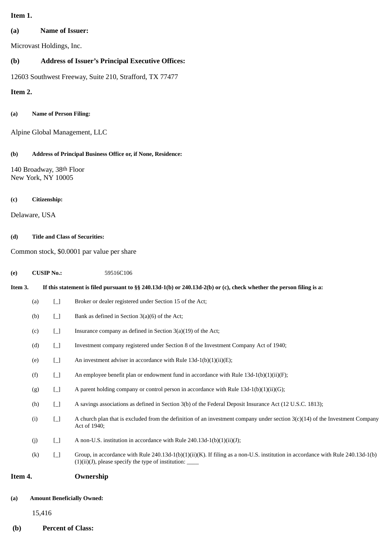# **Item 1.**

# **(a) Name of Issuer:**

Microvast Holdings, Inc.

# **(b) Address of Issuer's Principal Executive Offices:**

12603 Southwest Freeway, Suite 210, Strafford, TX 77477

**Item 2.**

## **(a) Name of Person Filing:**

Alpine Global Management, LLC

### **(b) Address of Principal Business Office or, if None, Residence:**

140 Broadway, 38th Floor New York, NY 10005

#### **(c) Citizenship:**

Delaware, USA

## **(d) Title and Class of Securities:**

Common stock, \$0.0001 par value per share

#### **(e) CUSIP No.:** 59516C106

| Item 3. |     |                                        | If this statement is filed pursuant to §§ 240.13d-1(b) or 240.13d-2(b) or (c), check whether the person filing is a:                                                                      |
|---------|-----|----------------------------------------|-------------------------------------------------------------------------------------------------------------------------------------------------------------------------------------------|
|         | (a) | $\Box$                                 | Broker or dealer registered under Section 15 of the Act;                                                                                                                                  |
|         | (b) | $\Box$                                 | Bank as defined in Section $3(a)(6)$ of the Act;                                                                                                                                          |
|         | (c) | $\Box$                                 | Insurance company as defined in Section $3(a)(19)$ of the Act;                                                                                                                            |
|         | (d) | $\Box$                                 | Investment company registered under Section 8 of the Investment Company Act of 1940;                                                                                                      |
|         | (e) | $\Box$                                 | An investment adviser in accordance with Rule $13d-1(b)(1)(ii)(E)$ ;                                                                                                                      |
|         | (f) | $\Box$                                 | An employee benefit plan or endowment fund in accordance with Rule $13d-1(b)(1)(ii)(F)$ ;                                                                                                 |
|         | (g) | $\begin{bmatrix} 1 \\ 1 \end{bmatrix}$ | A parent holding company or control person in accordance with Rule $13d-1(b)(1)(ii)(G)$ ;                                                                                                 |
|         | (h) | $\Box$                                 | A savings associations as defined in Section 3(b) of the Federal Deposit Insurance Act (12 U.S.C. 1813);                                                                                  |
|         | (i) | $\Box$                                 | A church plan that is excluded from the definition of an investment company under section $3(c)(14)$ of the Investment Company<br>Act of 1940;                                            |
|         | (j) | $\Box$                                 | A non-U.S. institution in accordance with Rule 240.13d-1(b)(1)(ii)(J);                                                                                                                    |
|         | (k) | $\Box$                                 | Group, in accordance with Rule 240.13d-1(b)(1)(ii)(K). If filing as a non-U.S. institution in accordance with Rule 240.13d-1(b)<br>$(1)(ii)(J)$ , please specify the type of institution: |
| Item 4. |     |                                        | Ownership                                                                                                                                                                                 |

#### **(a) Amount Beneficially Owned:**

15,416

# **(b) Percent of Class:**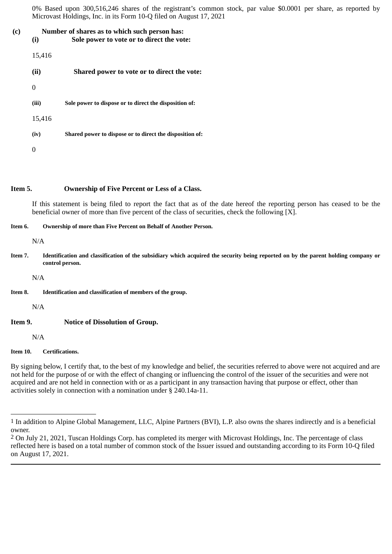0% Based upon 300,516,246 shares of the registrant's common stock, par value \$0.0001 per share, as reported by Microvast Holdings, Inc. in its Form 10-Q filed on August 17, 2021

# **(c) Number of shares as to which such person has:**

**(i) Sole power to vote or to direct the vote:**

| 15,416 |                                                          |
|--------|----------------------------------------------------------|
| (ii)   | Shared power to vote or to direct the vote:              |
|        |                                                          |
| (iii)  | Sole power to dispose or to direct the disposition of:   |
| 15,416 |                                                          |
| (iv)   | Shared power to dispose or to direct the disposition of: |
|        |                                                          |

## **Item 5. Ownership of Five Percent or Less of a Class.**

If this statement is being filed to report the fact that as of the date hereof the reporting person has ceased to be the beneficial owner of more than five percent of the class of securities, check the following [X].

## **Item 6. Ownership of more than Five Percent on Behalf of Another Person.**

N/A

Item 7. Identification and classification of the subsidiary which acquired the security being reported on by the parent holding company or **control person.**

N/A

**Item 8. Identification and classification of members of the group.**

N/A

**Item 9. Notice of Dissolution of Group.**

N/A

## **Item 10. Certifications.**

By signing below, I certify that, to the best of my knowledge and belief, the securities referred to above were not acquired and are not held for the purpose of or with the effect of changing or influencing the control of the issuer of the securities and were not acquired and are not held in connection with or as a participant in any transaction having that purpose or effect, other than activities solely in connection with a nomination under § 240.14a-11.

<sup>1</sup> In addition to Alpine Global Management, LLC, Alpine Partners (BVI), L.P. also owns the shares indirectly and is a beneficial owner.

<sup>2</sup> On July 21, 2021, Tuscan Holdings Corp. has completed its merger with Microvast Holdings, Inc. The percentage of class reflected here is based on a total number of common stock of the Issuer issued and outstanding according to its Form 10-Q filed on August 17, 2021.